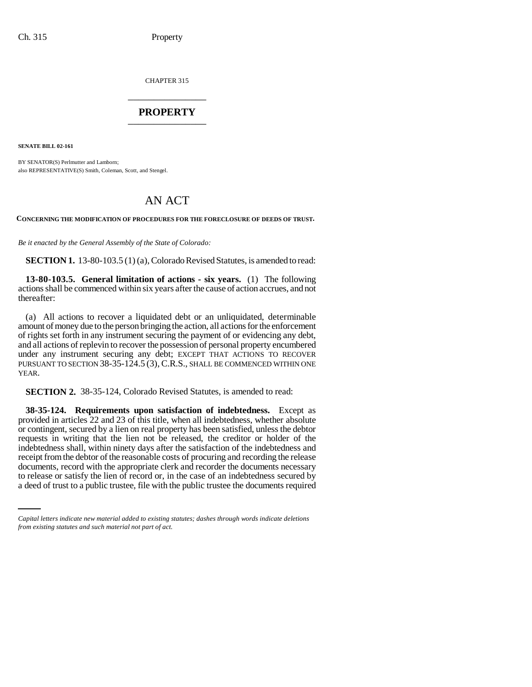CHAPTER 315 \_\_\_\_\_\_\_\_\_\_\_\_\_\_\_

## **PROPERTY** \_\_\_\_\_\_\_\_\_\_\_\_\_\_\_

**SENATE BILL 02-161**

BY SENATOR(S) Perlmutter and Lamborn: also REPRESENTATIVE(S) Smith, Coleman, Scott, and Stengel.

# AN ACT

**CONCERNING THE MODIFICATION OF PROCEDURES FOR THE FORECLOSURE OF DEEDS OF TRUST.**

*Be it enacted by the General Assembly of the State of Colorado:*

**SECTION 1.** 13-80-103.5 (1) (a), Colorado Revised Statutes, is amended to read:

**13-80-103.5. General limitation of actions - six years.** (1) The following actions shall be commenced within six years after the cause of action accrues, and not thereafter:

(a) All actions to recover a liquidated debt or an unliquidated, determinable amount of money due to the person bringing the action, all actions for the enforcement of rights set forth in any instrument securing the payment of or evidencing any debt, and all actions of replevin to recover the possession of personal property encumbered under any instrument securing any debt; EXCEPT THAT ACTIONS TO RECOVER PURSUANT TO SECTION 38-35-124.5 (3), C.R.S., SHALL BE COMMENCED WITHIN ONE YEAR.

**SECTION 2.** 38-35-124, Colorado Revised Statutes, is amended to read:

documents, record with the appropriate clerk and recorder the documents necessary **38-35-124. Requirements upon satisfaction of indebtedness.** Except as provided in articles 22 and 23 of this title, when all indebtedness, whether absolute or contingent, secured by a lien on real property has been satisfied, unless the debtor requests in writing that the lien not be released, the creditor or holder of the indebtedness shall, within ninety days after the satisfaction of the indebtedness and receipt from the debtor of the reasonable costs of procuring and recording the release to release or satisfy the lien of record or, in the case of an indebtedness secured by a deed of trust to a public trustee, file with the public trustee the documents required

*Capital letters indicate new material added to existing statutes; dashes through words indicate deletions from existing statutes and such material not part of act.*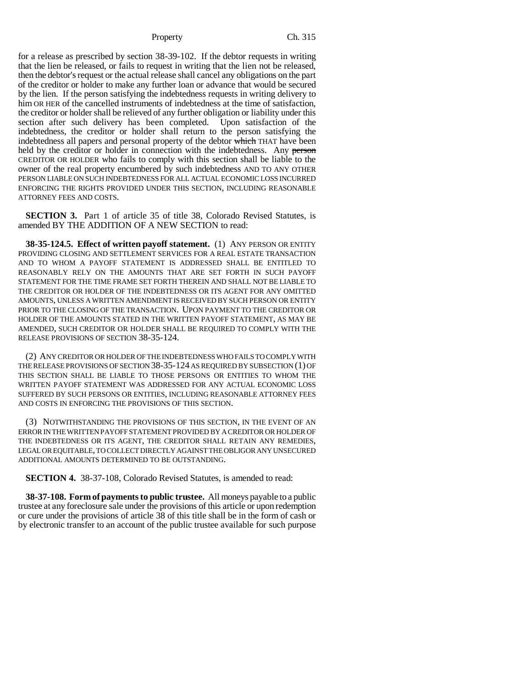for a release as prescribed by section 38-39-102. If the debtor requests in writing that the lien be released, or fails to request in writing that the lien not be released, then the debtor's request or the actual release shall cancel any obligations on the part of the creditor or holder to make any further loan or advance that would be secured by the lien. If the person satisfying the indebtedness requests in writing delivery to him OR HER of the cancelled instruments of indebtedness at the time of satisfaction, the creditor or holder shall be relieved of any further obligation or liability under this section after such delivery has been completed. Upon satisfaction of the indebtedness, the creditor or holder shall return to the person satisfying the indebtedness all papers and personal property of the debtor which THAT have been held by the creditor or holder in connection with the indebtedness. Any person CREDITOR OR HOLDER who fails to comply with this section shall be liable to the owner of the real property encumbered by such indebtedness AND TO ANY OTHER PERSON LIABLE ON SUCH INDEBTEDNESS FOR ALL ACTUAL ECONOMIC LOSS INCURRED ENFORCING THE RIGHTS PROVIDED UNDER THIS SECTION, INCLUDING REASONABLE ATTORNEY FEES AND COSTS.

**SECTION 3.** Part 1 of article 35 of title 38, Colorado Revised Statutes, is amended BY THE ADDITION OF A NEW SECTION to read:

**38-35-124.5. Effect of written payoff statement.** (1) ANY PERSON OR ENTITY PROVIDING CLOSING AND SETTLEMENT SERVICES FOR A REAL ESTATE TRANSACTION AND TO WHOM A PAYOFF STATEMENT IS ADDRESSED SHALL BE ENTITLED TO REASONABLY RELY ON THE AMOUNTS THAT ARE SET FORTH IN SUCH PAYOFF STATEMENT FOR THE TIME FRAME SET FORTH THEREIN AND SHALL NOT BE LIABLE TO THE CREDITOR OR HOLDER OF THE INDEBTEDNESS OR ITS AGENT FOR ANY OMITTED AMOUNTS, UNLESS A WRITTEN AMENDMENT IS RECEIVED BY SUCH PERSON OR ENTITY PRIOR TO THE CLOSING OF THE TRANSACTION. UPON PAYMENT TO THE CREDITOR OR HOLDER OF THE AMOUNTS STATED IN THE WRITTEN PAYOFF STATEMENT, AS MAY BE AMENDED, SUCH CREDITOR OR HOLDER SHALL BE REQUIRED TO COMPLY WITH THE RELEASE PROVISIONS OF SECTION 38-35-124.

(2) ANY CREDITOR OR HOLDER OF THE INDEBTEDNESS WHO FAILS TO COMPLY WITH THE RELEASE PROVISIONS OF SECTION 38-35-124 AS REQUIRED BY SUBSECTION (1) OF THIS SECTION SHALL BE LIABLE TO THOSE PERSONS OR ENTITIES TO WHOM THE WRITTEN PAYOFF STATEMENT WAS ADDRESSED FOR ANY ACTUAL ECONOMIC LOSS SUFFERED BY SUCH PERSONS OR ENTITIES, INCLUDING REASONABLE ATTORNEY FEES AND COSTS IN ENFORCING THE PROVISIONS OF THIS SECTION.

(3) NOTWITHSTANDING THE PROVISIONS OF THIS SECTION, IN THE EVENT OF AN ERROR IN THE WRITTEN PAYOFF STATEMENT PROVIDED BY A CREDITOR OR HOLDER OF THE INDEBTEDNESS OR ITS AGENT, THE CREDITOR SHALL RETAIN ANY REMEDIES, LEGAL OR EQUITABLE, TO COLLECT DIRECTLY AGAINST THE OBLIGOR ANY UNSECURED ADDITIONAL AMOUNTS DETERMINED TO BE OUTSTANDING.

**SECTION 4.** 38-37-108, Colorado Revised Statutes, is amended to read:

**38-37-108. Form of payments to public trustee.** All moneys payable to a public trustee at any foreclosure sale under the provisions of this article or upon redemption or cure under the provisions of article 38 of this title shall be in the form of cash or by electronic transfer to an account of the public trustee available for such purpose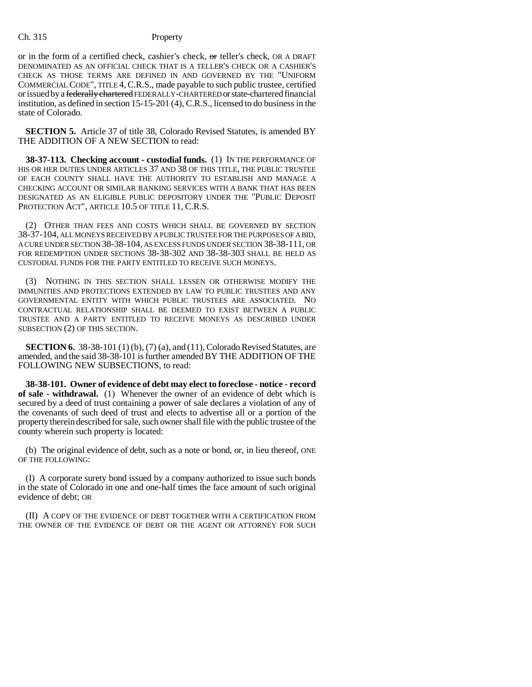or in the form of a certified check, cashier's check, or teller's check, OR A DRAFT DENOMINATED AS AN OFFICIAL CHECK THAT IS A TELLER'S CHECK OR A CASHIER'S CHECK AS THOSE TERMS ARE DEFINED IN AND GOVERNED BY THE "UNIFORM COMMERCIAL CODE", TITLE 4,C.R.S., made payable to such public trustee, certified or issued by a federally chartered FEDERALLY-CHARTERED or state-chartered financial institution, as defined in section 15-15-201 (4), C.R.S., licensed to do business in the state of Colorado.

**SECTION 5.** Article 37 of title 38, Colorado Revised Statutes, is amended BY THE ADDITION OF A NEW SECTION to read:

**38-37-113. Checking account - custodial funds.** (1) IN THE PERFORMANCE OF HIS OR HER DUTIES UNDER ARTICLES 37 AND 38 OF THIS TITLE, THE PUBLIC TRUSTEE OF EACH COUNTY SHALL HAVE THE AUTHORITY TO ESTABLISH AND MANAGE A CHECKING ACCOUNT OR SIMILAR BANKING SERVICES WITH A BANK THAT HAS BEEN DESIGNATED AS AN ELIGIBLE PUBLIC DEPOSITORY UNDER THE "PUBLIC DEPOSIT PROTECTION ACT", ARTICLE 10.5 OF TITLE 11, C.R.S.

(2) OTHER THAN FEES AND COSTS WHICH SHALL BE GOVERNED BY SECTION 38-37-104, ALL MONEYS RECEIVED BY A PUBLIC TRUSTEE FOR THE PURPOSES OF A BID, A CURE UNDER SECTION 38-38-104, AS EXCESS FUNDS UNDER SECTION 38-38-111, OR FOR REDEMPTION UNDER SECTIONS 38-38-302 AND 38-38-303 SHALL BE HELD AS CUSTODIAL FUNDS FOR THE PARTY ENTITLED TO RECEIVE SUCH MONEYS.

(3) NOTHING IN THIS SECTION SHALL LESSEN OR OTHERWISE MODIFY THE IMMUNITIES AND PROTECTIONS EXTENDED BY LAW TO PUBLIC TRUSTEES AND ANY GOVERNMENTAL ENTITY WITH WHICH PUBLIC TRUSTEES ARE ASSOCIATED. NO CONTRACTUAL RELATIONSHIP SHALL BE DEEMED TO EXIST BETWEEN A PUBLIC TRUSTEE AND A PARTY ENTITLED TO RECEIVE MONEYS AS DESCRIBED UNDER SUBSECTION (2) OF THIS SECTION.

**SECTION 6.** 38-38-101 (1) (b), (7) (a), and (11), Colorado Revised Statutes, are amended, and the said 38-38-101 is further amended BY THE ADDITION OF THE FOLLOWING NEW SUBSECTIONS, to read:

**38-38-101. Owner of evidence of debt may elect to foreclose - notice - record of sale - withdrawal.** (1) Whenever the owner of an evidence of debt which is secured by a deed of trust containing a power of sale declares a violation of any of the covenants of such deed of trust and elects to advertise all or a portion of the property therein described for sale, such owner shall file with the public trustee of the county wherein such property is located:

(b) The original evidence of debt, such as a note or bond, or, in lieu thereof, ONE OF THE FOLLOWING:

(I) A corporate surety bond issued by a company authorized to issue such bonds in the state of Colorado in one and one-half times the face amount of such original evidence of debt; OR

(II) A COPY OF THE EVIDENCE OF DEBT TOGETHER WITH A CERTIFICATION FROM THE OWNER OF THE EVIDENCE OF DEBT OR THE AGENT OR ATTORNEY FOR SUCH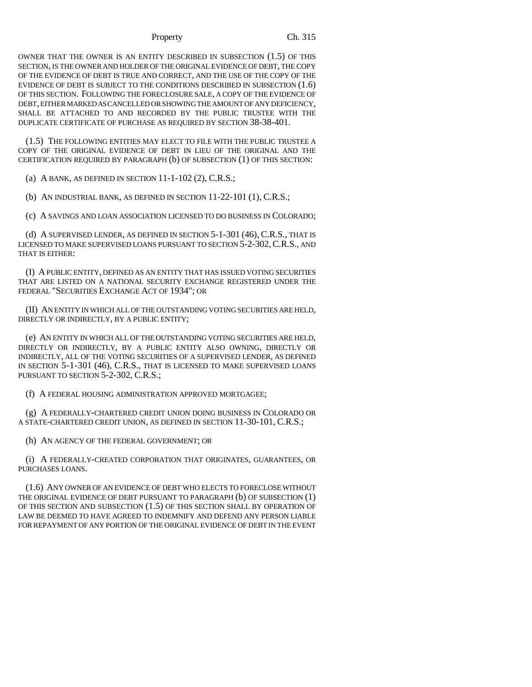OWNER THAT THE OWNER IS AN ENTITY DESCRIBED IN SUBSECTION (1.5) OF THIS SECTION, IS THE OWNER AND HOLDER OF THE ORIGINAL EVIDENCE OF DEBT, THE COPY OF THE EVIDENCE OF DEBT IS TRUE AND CORRECT, AND THE USE OF THE COPY OF THE EVIDENCE OF DEBT IS SUBJECT TO THE CONDITIONS DESCRIBED IN SUBSECTION (1.6) OF THIS SECTION. FOLLOWING THE FORECLOSURE SALE, A COPY OF THE EVIDENCE OF DEBT, EITHER MARKED AS CANCELLED OR SHOWING THE AMOUNT OF ANY DEFICIENCY, SHALL BE ATTACHED TO AND RECORDED BY THE PUBLIC TRUSTEE WITH THE DUPLICATE CERTIFICATE OF PURCHASE AS REQUIRED BY SECTION 38-38-401.

(1.5) THE FOLLOWING ENTITIES MAY ELECT TO FILE WITH THE PUBLIC TRUSTEE A COPY OF THE ORIGINAL EVIDENCE OF DEBT IN LIEU OF THE ORIGINAL AND THE CERTIFICATION REQUIRED BY PARAGRAPH (b) OF SUBSECTION (1) OF THIS SECTION:

(a) A BANK, AS DEFINED IN SECTION 11-1-102 (2), C.R.S.;

(b) AN INDUSTRIAL BANK, AS DEFINED IN SECTION 11-22-101 (1), C.R.S.;

(c) A SAVINGS AND LOAN ASSOCIATION LICENSED TO DO BUSINESS IN COLORADO;

(d) A SUPERVISED LENDER, AS DEFINED IN SECTION 5-1-301 (46), C.R.S., THAT IS LICENSED TO MAKE SUPERVISED LOANS PURSUANT TO SECTION 5-2-302,C.R.S., AND THAT IS EITHER:

(I) A PUBLIC ENTITY, DEFINED AS AN ENTITY THAT HAS ISSUED VOTING SECURITIES THAT ARE LISTED ON A NATIONAL SECURITY EXCHANGE REGISTERED UNDER THE FEDERAL "SECURITIES EXCHANGE ACT OF 1934"; OR

(II) AN ENTITY IN WHICH ALL OF THE OUTSTANDING VOTING SECURITIES ARE HELD, DIRECTLY OR INDIRECTLY, BY A PUBLIC ENTITY;

(e) AN ENTITY IN WHICH ALL OF THE OUTSTANDING VOTING SECURITIES ARE HELD, DIRECTLY OR INDIRECTLY, BY A PUBLIC ENTITY ALSO OWNING, DIRECTLY OR INDIRECTLY, ALL OF THE VOTING SECURITIES OF A SUPERVISED LENDER, AS DEFINED IN SECTION 5-1-301 (46), C.R.S., THAT IS LICENSED TO MAKE SUPERVISED LOANS PURSUANT TO SECTION 5-2-302, C.R.S.;

(f) A FEDERAL HOUSING ADMINISTRATION APPROVED MORTGAGEE;

(g) A FEDERALLY-CHARTERED CREDIT UNION DOING BUSINESS IN COLORADO OR A STATE-CHARTERED CREDIT UNION, AS DEFINED IN SECTION 11-30-101, C.R.S.;

(h) AN AGENCY OF THE FEDERAL GOVERNMENT; OR

(i) A FEDERALLY-CREATED CORPORATION THAT ORIGINATES, GUARANTEES, OR PURCHASES LOANS.

(1.6) ANY OWNER OF AN EVIDENCE OF DEBT WHO ELECTS TO FORECLOSE WITHOUT THE ORIGINAL EVIDENCE OF DEBT PURSUANT TO PARAGRAPH (b) OF SUBSECTION (1) OF THIS SECTION AND SUBSECTION (1.5) OF THIS SECTION SHALL BY OPERATION OF LAW BE DEEMED TO HAVE AGREED TO INDEMNIFY AND DEFEND ANY PERSON LIABLE FOR REPAYMENT OF ANY PORTION OF THE ORIGINAL EVIDENCE OF DEBT IN THE EVENT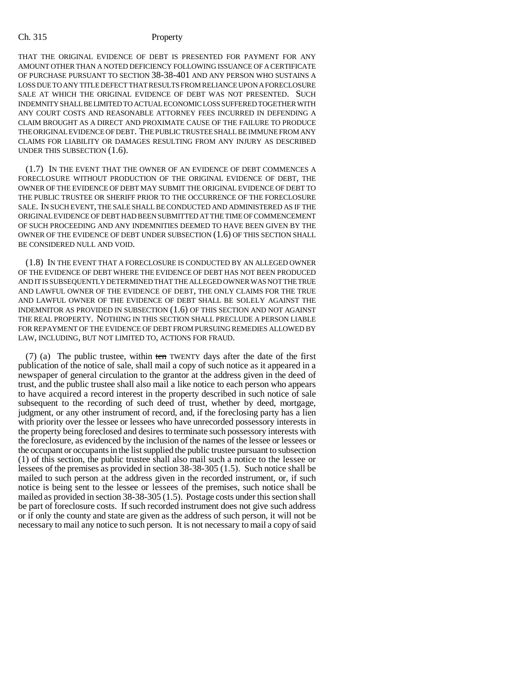THAT THE ORIGINAL EVIDENCE OF DEBT IS PRESENTED FOR PAYMENT FOR ANY AMOUNT OTHER THAN A NOTED DEFICIENCY FOLLOWING ISSUANCE OF A CERTIFICATE OF PURCHASE PURSUANT TO SECTION 38-38-401 AND ANY PERSON WHO SUSTAINS A LOSS DUE TO ANY TITLE DEFECT THAT RESULTS FROM RELIANCE UPON A FORECLOSURE SALE AT WHICH THE ORIGINAL EVIDENCE OF DEBT WAS NOT PRESENTED. SUCH INDEMNITY SHALL BE LIMITED TO ACTUAL ECONOMIC LOSS SUFFERED TOGETHER WITH ANY COURT COSTS AND REASONABLE ATTORNEY FEES INCURRED IN DEFENDING A CLAIM BROUGHT AS A DIRECT AND PROXIMATE CAUSE OF THE FAILURE TO PRODUCE THE ORIGINAL EVIDENCE OF DEBT. THE PUBLIC TRUSTEE SHALL BE IMMUNE FROM ANY CLAIMS FOR LIABILITY OR DAMAGES RESULTING FROM ANY INJURY AS DESCRIBED UNDER THIS SUBSECTION (1.6).

(1.7) IN THE EVENT THAT THE OWNER OF AN EVIDENCE OF DEBT COMMENCES A FORECLOSURE WITHOUT PRODUCTION OF THE ORIGINAL EVIDENCE OF DEBT, THE OWNER OF THE EVIDENCE OF DEBT MAY SUBMIT THE ORIGINAL EVIDENCE OF DEBT TO THE PUBLIC TRUSTEE OR SHERIFF PRIOR TO THE OCCURRENCE OF THE FORECLOSURE SALE. IN SUCH EVENT, THE SALE SHALL BE CONDUCTED AND ADMINISTERED AS IF THE ORIGINAL EVIDENCE OF DEBT HAD BEEN SUBMITTED AT THE TIME OF COMMENCEMENT OF SUCH PROCEEDING AND ANY INDEMNITIES DEEMED TO HAVE BEEN GIVEN BY THE OWNER OF THE EVIDENCE OF DEBT UNDER SUBSECTION (1.6) OF THIS SECTION SHALL BE CONSIDERED NULL AND VOID.

(1.8) IN THE EVENT THAT A FORECLOSURE IS CONDUCTED BY AN ALLEGED OWNER OF THE EVIDENCE OF DEBT WHERE THE EVIDENCE OF DEBT HAS NOT BEEN PRODUCED AND IT IS SUBSEQUENTLY DETERMINED THAT THE ALLEGED OWNER WAS NOT THE TRUE AND LAWFUL OWNER OF THE EVIDENCE OF DEBT, THE ONLY CLAIMS FOR THE TRUE AND LAWFUL OWNER OF THE EVIDENCE OF DEBT SHALL BE SOLELY AGAINST THE INDEMNITOR AS PROVIDED IN SUBSECTION (1.6) OF THIS SECTION AND NOT AGAINST THE REAL PROPERTY. NOTHING IN THIS SECTION SHALL PRECLUDE A PERSON LIABLE FOR REPAYMENT OF THE EVIDENCE OF DEBT FROM PURSUING REMEDIES ALLOWED BY LAW, INCLUDING, BUT NOT LIMITED TO, ACTIONS FOR FRAUD.

(7) (a) The public trustee, within ten TWENTY days after the date of the first publication of the notice of sale, shall mail a copy of such notice as it appeared in a newspaper of general circulation to the grantor at the address given in the deed of trust, and the public trustee shall also mail a like notice to each person who appears to have acquired a record interest in the property described in such notice of sale subsequent to the recording of such deed of trust, whether by deed, mortgage, judgment, or any other instrument of record, and, if the foreclosing party has a lien with priority over the lessee or lessees who have unrecorded possessory interests in the property being foreclosed and desires to terminate such possessory interests with the foreclosure, as evidenced by the inclusion of the names of the lessee or lessees or the occupant or occupants in the list supplied the public trustee pursuant to subsection (1) of this section, the public trustee shall also mail such a notice to the lessee or lessees of the premises as provided in section 38-38-305 (1.5). Such notice shall be mailed to such person at the address given in the recorded instrument, or, if such notice is being sent to the lessee or lessees of the premises, such notice shall be mailed as provided in section 38-38-305 (1.5). Postage costs under this section shall be part of foreclosure costs. If such recorded instrument does not give such address or if only the county and state are given as the address of such person, it will not be necessary to mail any notice to such person. It is not necessary to mail a copy of said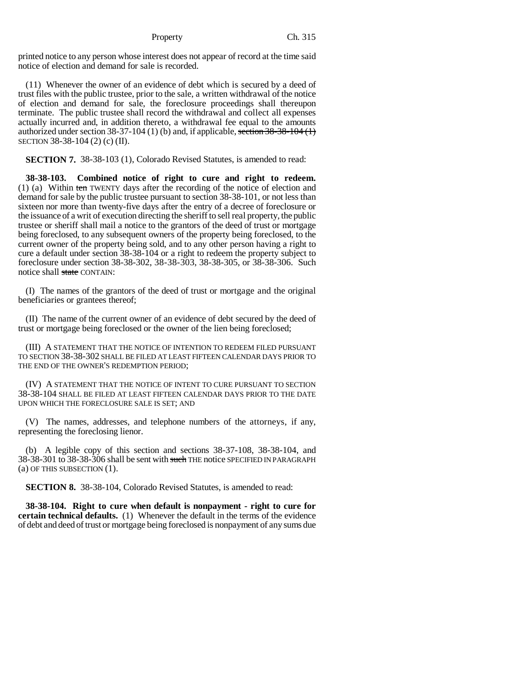printed notice to any person whose interest does not appear of record at the time said notice of election and demand for sale is recorded.

(11) Whenever the owner of an evidence of debt which is secured by a deed of trust files with the public trustee, prior to the sale, a written withdrawal of the notice of election and demand for sale, the foreclosure proceedings shall thereupon terminate. The public trustee shall record the withdrawal and collect all expenses actually incurred and, in addition thereto, a withdrawal fee equal to the amounts authorized under section  $38-37-104$  (1) (b) and, if applicable, section  $38-38-104$  (1) SECTION 38-38-104 (2) (c) (II).

**SECTION 7.** 38-38-103 (1), Colorado Revised Statutes, is amended to read:

**38-38-103. Combined notice of right to cure and right to redeem.** (1) (a) Within ten TWENTY days after the recording of the notice of election and demand for sale by the public trustee pursuant to section 38-38-101, or not less than sixteen nor more than twenty-five days after the entry of a decree of foreclosure or the issuance of a writ of execution directing the sheriff to sell real property, the public trustee or sheriff shall mail a notice to the grantors of the deed of trust or mortgage being foreclosed, to any subsequent owners of the property being foreclosed, to the current owner of the property being sold, and to any other person having a right to cure a default under section 38-38-104 or a right to redeem the property subject to foreclosure under section 38-38-302, 38-38-303, 38-38-305, or 38-38-306. Such notice shall state CONTAIN:

(I) The names of the grantors of the deed of trust or mortgage and the original beneficiaries or grantees thereof;

(II) The name of the current owner of an evidence of debt secured by the deed of trust or mortgage being foreclosed or the owner of the lien being foreclosed;

(III) A STATEMENT THAT THE NOTICE OF INTENTION TO REDEEM FILED PURSUANT TO SECTION 38-38-302 SHALL BE FILED AT LEAST FIFTEEN CALENDAR DAYS PRIOR TO THE END OF THE OWNER'S REDEMPTION PERIOD;

(IV) A STATEMENT THAT THE NOTICE OF INTENT TO CURE PURSUANT TO SECTION 38-38-104 SHALL BE FILED AT LEAST FIFTEEN CALENDAR DAYS PRIOR TO THE DATE UPON WHICH THE FORECLOSURE SALE IS SET; AND

(V) The names, addresses, and telephone numbers of the attorneys, if any, representing the foreclosing lienor.

(b) A legible copy of this section and sections 38-37-108, 38-38-104, and 38-38-301 to 38-38-306 shall be sent with such THE notice SPECIFIED IN PARAGRAPH (a) OF THIS SUBSECTION (1).

**SECTION 8.** 38-38-104, Colorado Revised Statutes, is amended to read:

**38-38-104. Right to cure when default is nonpayment - right to cure for certain technical defaults.** (1) Whenever the default in the terms of the evidence of debt and deed of trust or mortgage being foreclosed is nonpayment of any sums due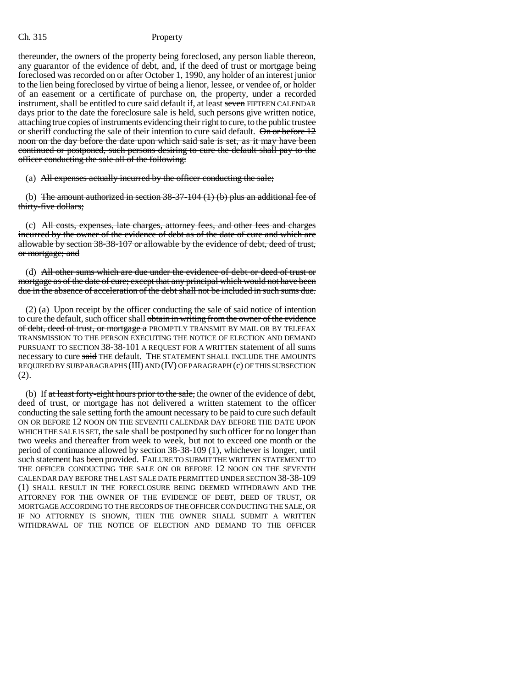thereunder, the owners of the property being foreclosed, any person liable thereon, any guarantor of the evidence of debt, and, if the deed of trust or mortgage being foreclosed was recorded on or after October 1, 1990, any holder of an interest junior to the lien being foreclosed by virtue of being a lienor, lessee, or vendee of, or holder of an easement or a certificate of purchase on, the property, under a recorded instrument, shall be entitled to cure said default if, at least seven FIFTEEN CALENDAR days prior to the date the foreclosure sale is held, such persons give written notice, attaching true copies of instruments evidencing their right to cure, to the public trustee or sheriff conducting the sale of their intention to cure said default.  $\Theta$  or before  $12$ noon on the day before the date upon which said sale is set, as it may have been continued or postponed, such persons desiring to cure the default shall pay to the officer conducting the sale all of the following:

(a) All expenses actually incurred by the officer conducting the sale;

(b) The amount authorized in section  $38-37-104$  (1) (b) plus an additional fee of thirty-five dollars;

(c) All costs, expenses, late charges, attorney fees, and other fees and charges incurred by the owner of the evidence of debt as of the date of cure and which are allowable by section 38-38-107 or allowable by the evidence of debt, deed of trust, or mortgage; and

(d) All other sums which are due under the evidence of debt or deed of trust or mortgage as of the date of cure; except that any principal which would not have been due in the absence of acceleration of the debt shall not be included in such sums due.

(2) (a) Upon receipt by the officer conducting the sale of said notice of intention to cure the default, such officer shall obtain in writing from the owner of the evidence of debt, deed of trust, or mortgage a PROMPTLY TRANSMIT BY MAIL OR BY TELEFAX TRANSMISSION TO THE PERSON EXECUTING THE NOTICE OF ELECTION AND DEMAND PURSUANT TO SECTION 38-38-101 A REQUEST FOR A WRITTEN statement of all sums necessary to cure said THE default. THE STATEMENT SHALL INCLUDE THE AMOUNTS REQUIRED BY SUBPARAGRAPHS (III) AND (IV) OF PARAGRAPH (c) OF THIS SUBSECTION (2).

(b) If at least forty-eight hours prior to the sale, the owner of the evidence of debt, deed of trust, or mortgage has not delivered a written statement to the officer conducting the sale setting forth the amount necessary to be paid to cure such default ON OR BEFORE 12 NOON ON THE SEVENTH CALENDAR DAY BEFORE THE DATE UPON WHICH THE SALE IS SET, the sale shall be postponed by such officer for no longer than two weeks and thereafter from week to week, but not to exceed one month or the period of continuance allowed by section 38-38-109 (1), whichever is longer, until such statement has been provided. FAILURE TO SUBMIT THE WRITTEN STATEMENT TO THE OFFICER CONDUCTING THE SALE ON OR BEFORE 12 NOON ON THE SEVENTH CALENDAR DAY BEFORE THE LAST SALE DATE PERMITTED UNDER SECTION 38-38-109 (1) SHALL RESULT IN THE FORECLOSURE BEING DEEMED WITHDRAWN AND THE ATTORNEY FOR THE OWNER OF THE EVIDENCE OF DEBT, DEED OF TRUST, OR MORTGAGE ACCORDING TO THE RECORDS OF THE OFFICER CONDUCTING THE SALE, OR IF NO ATTORNEY IS SHOWN, THEN THE OWNER SHALL SUBMIT A WRITTEN WITHDRAWAL OF THE NOTICE OF ELECTION AND DEMAND TO THE OFFICER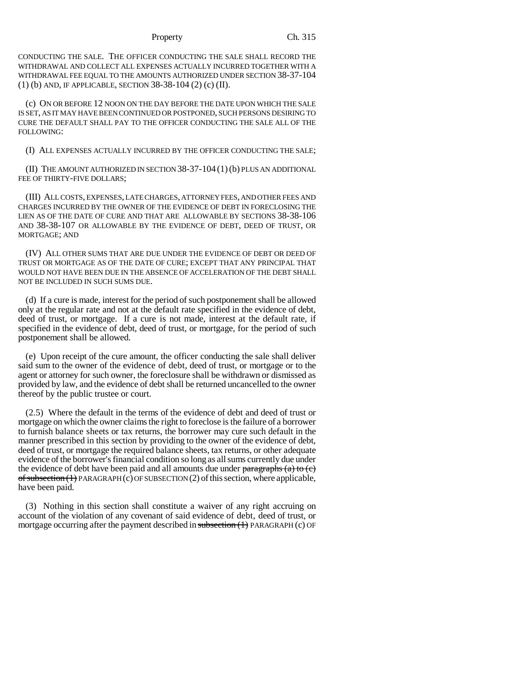CONDUCTING THE SALE. THE OFFICER CONDUCTING THE SALE SHALL RECORD THE WITHDRAWAL AND COLLECT ALL EXPENSES ACTUALLY INCURRED TOGETHER WITH A WITHDRAWAL FEE EQUAL TO THE AMOUNTS AUTHORIZED UNDER SECTION 38-37-104 (1) (b) AND, IF APPLICABLE, SECTION 38-38-104 (2) (c) (II).

(c) ON OR BEFORE 12 NOON ON THE DAY BEFORE THE DATE UPON WHICH THE SALE IS SET, AS IT MAY HAVE BEEN CONTINUED OR POSTPONED, SUCH PERSONS DESIRING TO CURE THE DEFAULT SHALL PAY TO THE OFFICER CONDUCTING THE SALE ALL OF THE FOLLOWING:

(I) ALL EXPENSES ACTUALLY INCURRED BY THE OFFICER CONDUCTING THE SALE;

(II) THE AMOUNT AUTHORIZED IN SECTION 38-37-104 (1)(b) PLUS AN ADDITIONAL FEE OF THIRTY-FIVE DOLLARS;

(III) ALL COSTS, EXPENSES, LATE CHARGES, ATTORNEY FEES, AND OTHER FEES AND CHARGES INCURRED BY THE OWNER OF THE EVIDENCE OF DEBT IN FORECLOSING THE LIEN AS OF THE DATE OF CURE AND THAT ARE ALLOWABLE BY SECTIONS 38-38-106 AND 38-38-107 OR ALLOWABLE BY THE EVIDENCE OF DEBT, DEED OF TRUST, OR MORTGAGE; AND

(IV) ALL OTHER SUMS THAT ARE DUE UNDER THE EVIDENCE OF DEBT OR DEED OF TRUST OR MORTGAGE AS OF THE DATE OF CURE; EXCEPT THAT ANY PRINCIPAL THAT WOULD NOT HAVE BEEN DUE IN THE ABSENCE OF ACCELERATION OF THE DEBT SHALL NOT BE INCLUDED IN SUCH SUMS DUE.

(d) If a cure is made, interest for the period of such postponement shall be allowed only at the regular rate and not at the default rate specified in the evidence of debt, deed of trust, or mortgage. If a cure is not made, interest at the default rate, if specified in the evidence of debt, deed of trust, or mortgage, for the period of such postponement shall be allowed.

(e) Upon receipt of the cure amount, the officer conducting the sale shall deliver said sum to the owner of the evidence of debt, deed of trust, or mortgage or to the agent or attorney for such owner, the foreclosure shall be withdrawn or dismissed as provided by law, and the evidence of debt shall be returned uncancelled to the owner thereof by the public trustee or court.

(2.5) Where the default in the terms of the evidence of debt and deed of trust or mortgage on which the owner claims the right to foreclose is the failure of a borrower to furnish balance sheets or tax returns, the borrower may cure such default in the manner prescribed in this section by providing to the owner of the evidence of debt, deed of trust, or mortgage the required balance sheets, tax returns, or other adequate evidence of the borrower's financial condition so long as all sums currently due under the evidence of debt have been paid and all amounts due under paragraphs (a) to (c)  $\sigma$ f subsection (1)</del> PARAGRAPH (c) OF SUBSECTION (2) of this section, where applicable, have been paid.

(3) Nothing in this section shall constitute a waiver of any right accruing on account of the violation of any covenant of said evidence of debt, deed of trust, or mortgage occurring after the payment described in  $\frac{\text{subsection}(1)}{\text{maxmax}}$  PARAGRAPH (c) OF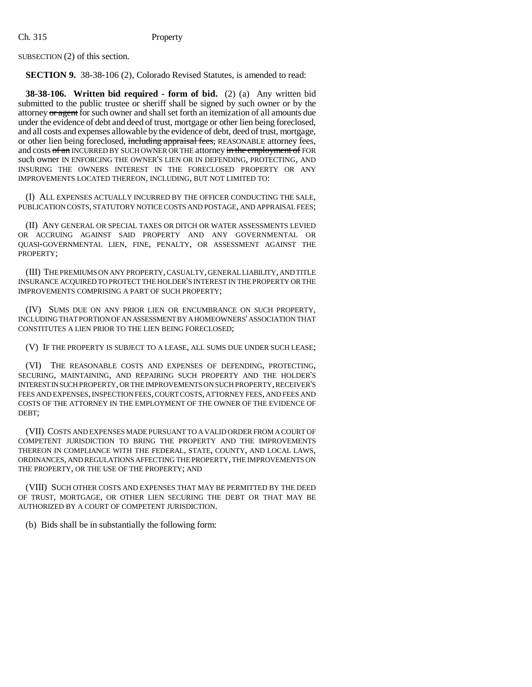SUBSECTION (2) of this section.

**SECTION 9.** 38-38-106 (2), Colorado Revised Statutes, is amended to read:

**38-38-106. Written bid required - form of bid.** (2) (a) Any written bid submitted to the public trustee or sheriff shall be signed by such owner or by the attorney or agent for such owner and shall set forth an itemization of all amounts due under the evidence of debt and deed of trust, mortgage or other lien being foreclosed, and all costs and expenses allowable by the evidence of debt, deed of trust, mortgage, or other lien being foreclosed, including appraisal fees, REASONABLE attorney fees, and costs of an INCURRED BY SUCH OWNER OR THE attorney in the employment of FOR such owner IN ENFORCING THE OWNER'S LIEN OR IN DEFENDING, PROTECTING, AND INSURING THE OWNERS INTEREST IN THE FORECLOSED PROPERTY OR ANY IMPROVEMENTS LOCATED THEREON, INCLUDING, BUT NOT LIMITED TO:

(I) ALL EXPENSES ACTUALLY INCURRED BY THE OFFICER CONDUCTING THE SALE, PUBLICATION COSTS, STATUTORY NOTICE COSTS AND POSTAGE, AND APPRAISAL FEES;

(II) ANY GENERAL OR SPECIAL TAXES OR DITCH OR WATER ASSESSMENTS LEVIED OR ACCRUING AGAINST SAID PROPERTY AND ANY GOVERNMENTAL OR QUASI-GOVERNMENTAL LIEN, FINE, PENALTY, OR ASSESSMENT AGAINST THE PROPERTY;

(III) THE PREMIUMS ON ANY PROPERTY, CASUALTY, GENERAL LIABILITY, AND TITLE INSURANCE ACQUIRED TO PROTECT THE HOLDER'S INTEREST IN THE PROPERTY OR THE IMPROVEMENTS COMPRISING A PART OF SUCH PROPERTY;

(IV) SUMS DUE ON ANY PRIOR LIEN OR ENCUMBRANCE ON SUCH PROPERTY, INCLUDING THAT PORTION OF AN ASSESSMENT BY A HOMEOWNERS' ASSOCIATION THAT CONSTITUTES A LIEN PRIOR TO THE LIEN BEING FORECLOSED;

(V) IF THE PROPERTY IS SUBJECT TO A LEASE, ALL SUMS DUE UNDER SUCH LEASE;

(VI) THE REASONABLE COSTS AND EXPENSES OF DEFENDING, PROTECTING, SECURING, MAINTAINING, AND REPAIRING SUCH PROPERTY AND THE HOLDER'S INTEREST IN SUCH PROPERTY, OR THE IMPROVEMENTS ON SUCH PROPERTY, RECEIVER'S FEES AND EXPENSES, INSPECTION FEES, COURT COSTS, ATTORNEY FEES, AND FEES AND COSTS OF THE ATTORNEY IN THE EMPLOYMENT OF THE OWNER OF THE EVIDENCE OF DEBT;

(VII) COSTS AND EXPENSES MADE PURSUANT TO A VALID ORDER FROM A COURT OF COMPETENT JURISDICTION TO BRING THE PROPERTY AND THE IMPROVEMENTS THEREON IN COMPLIANCE WITH THE FEDERAL, STATE, COUNTY, AND LOCAL LAWS, ORDINANCES, AND REGULATIONS AFFECTING THE PROPERTY, THE IMPROVEMENTS ON THE PROPERTY, OR THE USE OF THE PROPERTY; AND

(VIII) SUCH OTHER COSTS AND EXPENSES THAT MAY BE PERMITTED BY THE DEED OF TRUST, MORTGAGE, OR OTHER LIEN SECURING THE DEBT OR THAT MAY BE AUTHORIZED BY A COURT OF COMPETENT JURISDICTION.

(b) Bids shall be in substantially the following form: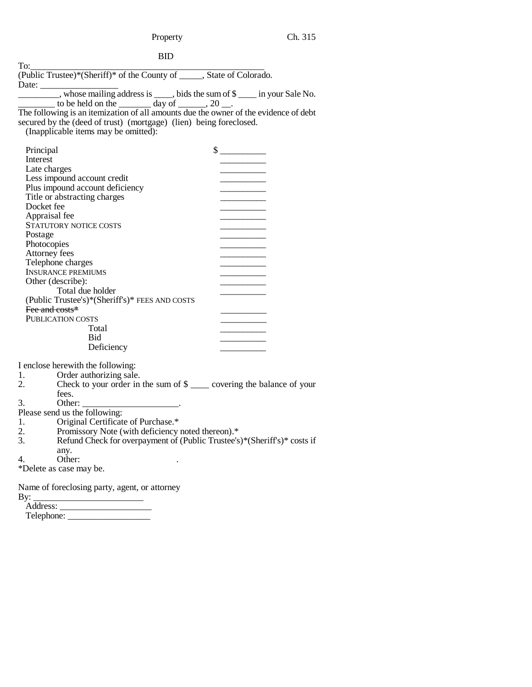BID

| To:                                                                                                                                                                                                                                                                                                                                                                                                                               |                             |  |
|-----------------------------------------------------------------------------------------------------------------------------------------------------------------------------------------------------------------------------------------------------------------------------------------------------------------------------------------------------------------------------------------------------------------------------------|-----------------------------|--|
| (Public Trustee)*(Sheriff)* of the County of _____, State of Colorado.                                                                                                                                                                                                                                                                                                                                                            |                             |  |
| Date: _____                                                                                                                                                                                                                                                                                                                                                                                                                       |                             |  |
| $\frac{1}{\sqrt{1-\frac{1}{\sqrt{1-\frac{1}{\sqrt{1-\frac{1}{\sqrt{1-\frac{1}{\sqrt{1-\frac{1}{\sqrt{1-\frac{1}{\sqrt{1-\frac{1}{\sqrt{1-\frac{1}{\sqrt{1-\frac{1}{\sqrt{1-\frac{1}{\sqrt{1-\frac{1}{\sqrt{1-\frac{1}{\sqrt{1-\frac{1}{\sqrt{1-\frac{1}{\sqrt{1-\frac{1}{\sqrt{1-\frac{1}{\sqrt{1-\frac{1}{\sqrt{1-\frac{1}{\sqrt{1-\frac{1}{\sqrt{1-\frac{1}{\sqrt{1-\frac{1}{\sqrt{1-\frac{1}{\sqrt{1-\frac{1}{\sqrt{1-\frac{1$ |                             |  |
| to be held on the $\_\_\_\_$ day of $\_\_\_\_$ , 20 $\_\_\_\_\_\_\_\_$ .                                                                                                                                                                                                                                                                                                                                                          |                             |  |
| The following is an itemization of all amounts due the owner of the evidence of debt                                                                                                                                                                                                                                                                                                                                              |                             |  |
| secured by the (deed of trust) (mortgage) (lien) being foreclosed.                                                                                                                                                                                                                                                                                                                                                                |                             |  |
| (Inapplicable items may be omitted):                                                                                                                                                                                                                                                                                                                                                                                              |                             |  |
|                                                                                                                                                                                                                                                                                                                                                                                                                                   |                             |  |
| Principal                                                                                                                                                                                                                                                                                                                                                                                                                         | $\frac{\text{S}}{\text{S}}$ |  |
| Interest                                                                                                                                                                                                                                                                                                                                                                                                                          |                             |  |
| Late charges                                                                                                                                                                                                                                                                                                                                                                                                                      |                             |  |
| Less impound account credit                                                                                                                                                                                                                                                                                                                                                                                                       |                             |  |
| Plus impound account deficiency                                                                                                                                                                                                                                                                                                                                                                                                   |                             |  |
| Title or abstracting charges                                                                                                                                                                                                                                                                                                                                                                                                      |                             |  |
| Docket fee                                                                                                                                                                                                                                                                                                                                                                                                                        |                             |  |
| Appraisal fee                                                                                                                                                                                                                                                                                                                                                                                                                     |                             |  |
| STATUTORY NOTICE COSTS                                                                                                                                                                                                                                                                                                                                                                                                            |                             |  |
| Postage                                                                                                                                                                                                                                                                                                                                                                                                                           |                             |  |
| Photocopies                                                                                                                                                                                                                                                                                                                                                                                                                       |                             |  |
| Attorney fees                                                                                                                                                                                                                                                                                                                                                                                                                     |                             |  |
| Telephone charges                                                                                                                                                                                                                                                                                                                                                                                                                 |                             |  |
| <b>INSURANCE PREMIUMS</b>                                                                                                                                                                                                                                                                                                                                                                                                         |                             |  |
| Other (describe):                                                                                                                                                                                                                                                                                                                                                                                                                 |                             |  |
| Total due holder                                                                                                                                                                                                                                                                                                                                                                                                                  |                             |  |
| (Public Trustee's)*(Sheriff's)* FEES AND COSTS                                                                                                                                                                                                                                                                                                                                                                                    |                             |  |
| Fee and costs*                                                                                                                                                                                                                                                                                                                                                                                                                    |                             |  |
| PUBLICATION COSTS                                                                                                                                                                                                                                                                                                                                                                                                                 |                             |  |
| Total                                                                                                                                                                                                                                                                                                                                                                                                                             |                             |  |
| Bid                                                                                                                                                                                                                                                                                                                                                                                                                               |                             |  |
| Deficiency                                                                                                                                                                                                                                                                                                                                                                                                                        |                             |  |
|                                                                                                                                                                                                                                                                                                                                                                                                                                   |                             |  |
| I enclose herewith the following:<br>Order authorizing sale.                                                                                                                                                                                                                                                                                                                                                                      |                             |  |
| 1.<br>Check to your order in the sum of $\frac{1}{2}$ covering the balance of your<br>2.                                                                                                                                                                                                                                                                                                                                          |                             |  |
| fees.                                                                                                                                                                                                                                                                                                                                                                                                                             |                             |  |
| 3.                                                                                                                                                                                                                                                                                                                                                                                                                                |                             |  |
| Other: $\overline{\phantom{a}}$<br>Please send us the following:                                                                                                                                                                                                                                                                                                                                                                  |                             |  |
| Original Certificate of Purchase.*<br>1.                                                                                                                                                                                                                                                                                                                                                                                          |                             |  |
| Promissory Note (with deficiency noted thereon).*<br>2.                                                                                                                                                                                                                                                                                                                                                                           |                             |  |
| Refund Check for overpayment of (Public Trustee's)*(Sheriff's)* costs if<br>3.                                                                                                                                                                                                                                                                                                                                                    |                             |  |
|                                                                                                                                                                                                                                                                                                                                                                                                                                   |                             |  |
| any.<br>Other:<br>4.                                                                                                                                                                                                                                                                                                                                                                                                              |                             |  |
| *Delete as case may be.                                                                                                                                                                                                                                                                                                                                                                                                           |                             |  |
|                                                                                                                                                                                                                                                                                                                                                                                                                                   |                             |  |
| Name of foreclosing party, agent, or attorney                                                                                                                                                                                                                                                                                                                                                                                     |                             |  |
|                                                                                                                                                                                                                                                                                                                                                                                                                                   |                             |  |

By: \_\_\_\_\_\_\_\_\_\_\_\_\_\_\_\_\_\_\_\_\_\_\_\_ Address: \_\_\_\_\_\_\_\_\_\_\_\_\_\_\_\_\_\_\_\_ Telephone: \_\_\_\_\_\_\_\_\_\_\_\_\_\_\_\_\_\_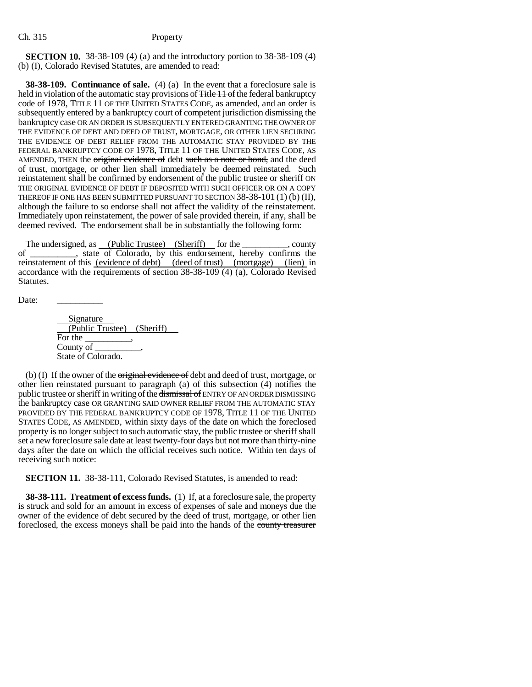**SECTION 10.** 38-38-109 (4) (a) and the introductory portion to 38-38-109 (4) (b) (I), Colorado Revised Statutes, are amended to read:

**38-38-109. Continuance of sale.** (4) (a) In the event that a foreclosure sale is held in violation of the automatic stay provisions of <del>Title 11 of</del> the federal bankruptcy code of 1978, TITLE 11 OF THE UNITED STATES CODE, as amended, and an order is subsequently entered by a bankruptcy court of competent jurisdiction dismissing the bankruptcy case OR AN ORDER IS SUBSEQUENTLY ENTERED GRANTING THE OWNER OF THE EVIDENCE OF DEBT AND DEED OF TRUST, MORTGAGE, OR OTHER LIEN SECURING THE EVIDENCE OF DEBT RELIEF FROM THE AUTOMATIC STAY PROVIDED BY THE FEDERAL BANKRUPTCY CODE OF 1978, TITLE 11 OF THE UNITED STATES CODE, AS AMENDED, THEN the original evidence of debt such as a note or bond, and the deed of trust, mortgage, or other lien shall immediately be deemed reinstated. Such reinstatement shall be confirmed by endorsement of the public trustee or sheriff ON THE ORIGINAL EVIDENCE OF DEBT IF DEPOSITED WITH SUCH OFFICER OR ON A COPY THEREOF IF ONE HAS BEEN SUBMITTED PURSUANT TO SECTION 38-38-101 (1) (b) (II), although the failure to so endorse shall not affect the validity of the reinstatement. Immediately upon reinstatement, the power of sale provided therein, if any, shall be deemed revived. The endorsement shall be in substantially the following form:

The undersigned, as (Public Trustee) (Sheriff) for the summer county of \_\_\_\_\_\_\_\_\_\_, state of Colorado, by this endorsement, hereby confirms the reinstatement of this (evidence of debt) (deed of trust) (mortgage) (lien) in accordance with the requirements of section 38-38-109 (4) (a), Colorado Revised Statutes.

Date:

**Signature**  (Public Trustee) (Sheriff) For the County of State of Colorado.

(b) (I) If the owner of the  $\theta$  original evidence of debt and deed of trust, mortgage, or other lien reinstated pursuant to paragraph (a) of this subsection (4) notifies the public trustee or sheriff in writing of the dismissal of ENTRY OF AN ORDER DISMISSING the bankruptcy case OR GRANTING SAID OWNER RELIEF FROM THE AUTOMATIC STAY PROVIDED BY THE FEDERAL BANKRUPTCY CODE OF 1978, TITLE 11 OF THE UNITED STATES CODE, AS AMENDED, within sixty days of the date on which the foreclosed property is no longer subject to such automatic stay, the public trustee or sheriff shall set a new foreclosure sale date at least twenty-four days but not more than thirty-nine days after the date on which the official receives such notice. Within ten days of receiving such notice:

**SECTION 11.** 38-38-111, Colorado Revised Statutes, is amended to read:

**38-38-111. Treatment of excess funds.** (1) If, at a foreclosure sale, the property is struck and sold for an amount in excess of expenses of sale and moneys due the owner of the evidence of debt secured by the deed of trust, mortgage, or other lien foreclosed, the excess moneys shall be paid into the hands of the county treasurer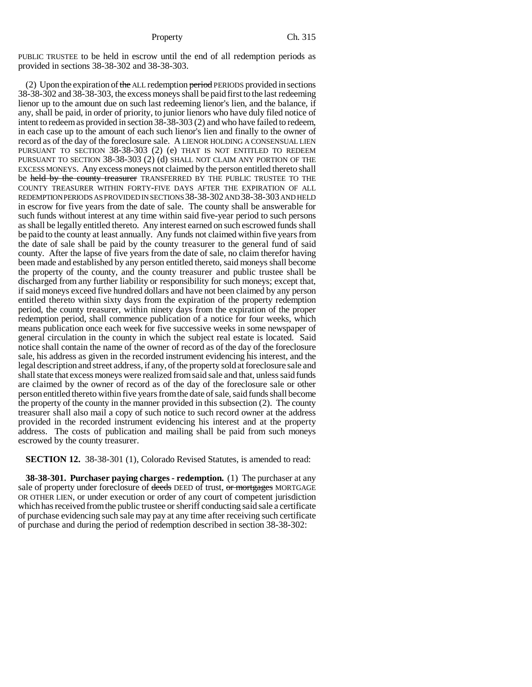PUBLIC TRUSTEE to be held in escrow until the end of all redemption periods as provided in sections 38-38-302 and 38-38-303.

(2) Upon the expiration of the ALL redemption period PERIODS provided in sections 38-38-302 and 38-38-303, the excess moneys shall be paid first to the last redeeming lienor up to the amount due on such last redeeming lienor's lien, and the balance, if any, shall be paid, in order of priority, to junior lienors who have duly filed notice of intent to redeem as provided in section 38-38-303 (2) and who have failed to redeem, in each case up to the amount of each such lienor's lien and finally to the owner of record as of the day of the foreclosure sale. A LIENOR HOLDING A CONSENSUAL LIEN PURSUANT TO SECTION 38-38-303 (2) (e) THAT IS NOT ENTITLED TO REDEEM PURSUANT TO SECTION 38-38-303 (2) (d) SHALL NOT CLAIM ANY PORTION OF THE EXCESS MONEYS. Any excess moneys not claimed by the person entitled thereto shall be held by the county treasurer TRANSFERRED BY THE PUBLIC TRUSTEE TO THE COUNTY TREASURER WITHIN FORTY-FIVE DAYS AFTER THE EXPIRATION OF ALL REDEMPTION PERIODS AS PROVIDED IN SECTIONS 38-38-302 AND 38-38-303 AND HELD in escrow for five years from the date of sale. The county shall be answerable for such funds without interest at any time within said five-year period to such persons as shall be legally entitled thereto. Any interest earned on such escrowed funds shall be paid to the county at least annually. Any funds not claimed within five years from the date of sale shall be paid by the county treasurer to the general fund of said county. After the lapse of five years from the date of sale, no claim therefor having been made and established by any person entitled thereto, said moneys shall become the property of the county, and the county treasurer and public trustee shall be discharged from any further liability or responsibility for such moneys; except that, if said moneys exceed five hundred dollars and have not been claimed by any person entitled thereto within sixty days from the expiration of the property redemption period, the county treasurer, within ninety days from the expiration of the proper redemption period, shall commence publication of a notice for four weeks, which means publication once each week for five successive weeks in some newspaper of general circulation in the county in which the subject real estate is located. Said notice shall contain the name of the owner of record as of the day of the foreclosure sale, his address as given in the recorded instrument evidencing his interest, and the legal description and street address, if any, of the property sold at foreclosure sale and shall state that excess moneys were realized from said sale and that, unless said funds are claimed by the owner of record as of the day of the foreclosure sale or other person entitled thereto within five years from the date of sale, said funds shall become the property of the county in the manner provided in this subsection (2). The county treasurer shall also mail a copy of such notice to such record owner at the address provided in the recorded instrument evidencing his interest and at the property address. The costs of publication and mailing shall be paid from such moneys escrowed by the county treasurer.

**SECTION 12.** 38-38-301 (1), Colorado Revised Statutes, is amended to read:

**38-38-301. Purchaser paying charges - redemption.** (1) The purchaser at any sale of property under foreclosure of deeds DEED of trust, or mortgages MORTGAGE OR OTHER LIEN, or under execution or order of any court of competent jurisdiction which has received from the public trustee or sheriff conducting said sale a certificate of purchase evidencing such sale may pay at any time after receiving such certificate of purchase and during the period of redemption described in section 38-38-302: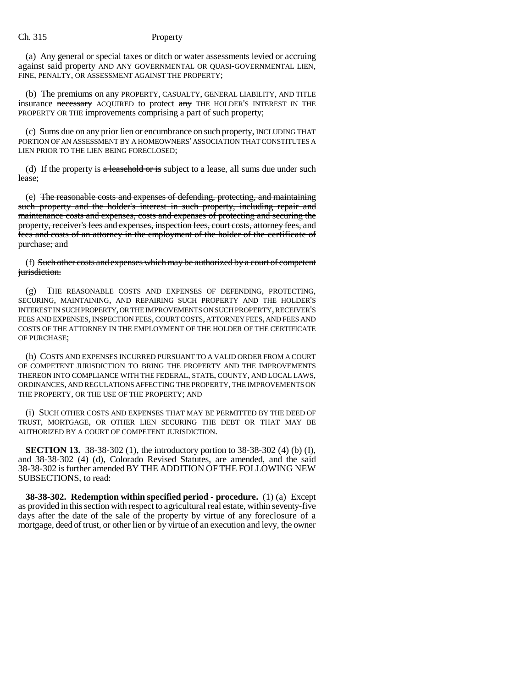### Ch. 315 Property

(a) Any general or special taxes or ditch or water assessments levied or accruing against said property AND ANY GOVERNMENTAL OR QUASI-GOVERNMENTAL LIEN, FINE, PENALTY, OR ASSESSMENT AGAINST THE PROPERTY;

(b) The premiums on any PROPERTY, CASUALTY, GENERAL LIABILITY, AND TITLE insurance necessary ACQUIRED to protect any THE HOLDER'S INTEREST IN THE PROPERTY OR THE improvements comprising a part of such property;

(c) Sums due on any prior lien or encumbrance on such property, INCLUDING THAT PORTION OF AN ASSESSMENT BY A HOMEOWNERS' ASSOCIATION THAT CONSTITUTES A LIEN PRIOR TO THE LIEN BEING FORECLOSED;

(d) If the property is  $\alpha$  leasehold or is subject to a lease, all sums due under such lease;

(e) The reasonable costs and expenses of defending, protecting, and maintaining such property and the holder's interest in such property, including repair and maintenance costs and expenses, costs and expenses of protecting and securing the property, receiver's fees and expenses, inspection fees, court costs, attorney fees, and fees and costs of an attorney in the employment of the holder of the certificate of purchase; and

(f) Such other costs and expenses which may be authorized by a court of competent jurisdiction.

(g) THE REASONABLE COSTS AND EXPENSES OF DEFENDING, PROTECTING, SECURING, MAINTAINING, AND REPAIRING SUCH PROPERTY AND THE HOLDER'S INTEREST IN SUCH PROPERTY, OR THE IMPROVEMENTS ON SUCH PROPERTY, RECEIVER'S FEES AND EXPENSES, INSPECTION FEES, COURT COSTS, ATTORNEY FEES, AND FEES AND COSTS OF THE ATTORNEY IN THE EMPLOYMENT OF THE HOLDER OF THE CERTIFICATE OF PURCHASE;

(h) COSTS AND EXPENSES INCURRED PURSUANT TO A VALID ORDER FROM A COURT OF COMPETENT JURISDICTION TO BRING THE PROPERTY AND THE IMPROVEMENTS THEREON INTO COMPLIANCE WITH THE FEDERAL, STATE, COUNTY, AND LOCAL LAWS, ORDINANCES, AND REGULATIONS AFFECTING THE PROPERTY, THE IMPROVEMENTS ON THE PROPERTY, OR THE USE OF THE PROPERTY; AND

(i) SUCH OTHER COSTS AND EXPENSES THAT MAY BE PERMITTED BY THE DEED OF TRUST, MORTGAGE, OR OTHER LIEN SECURING THE DEBT OR THAT MAY BE AUTHORIZED BY A COURT OF COMPETENT JURISDICTION.

**SECTION 13.** 38-38-302 (1), the introductory portion to 38-38-302 (4) (b) (I), and 38-38-302 (4) (d), Colorado Revised Statutes, are amended, and the said 38-38-302 is further amended BY THE ADDITION OF THE FOLLOWING NEW SUBSECTIONS, to read:

**38-38-302. Redemption within specified period - procedure.** (1) (a) Except as provided in this section with respect to agricultural real estate, within seventy-five days after the date of the sale of the property by virtue of any foreclosure of a mortgage, deed of trust, or other lien or by virtue of an execution and levy, the owner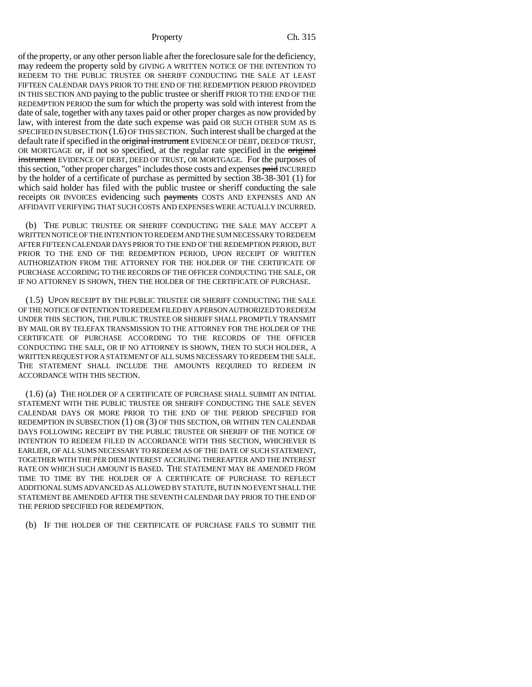of the property, or any other person liable after the foreclosure sale for the deficiency, may redeem the property sold by GIVING A WRITTEN NOTICE OF THE INTENTION TO REDEEM TO THE PUBLIC TRUSTEE OR SHERIFF CONDUCTING THE SALE AT LEAST FIFTEEN CALENDAR DAYS PRIOR TO THE END OF THE REDEMPTION PERIOD PROVIDED IN THIS SECTION AND paying to the public trustee or sheriff PRIOR TO THE END OF THE REDEMPTION PERIOD the sum for which the property was sold with interest from the date of sale, together with any taxes paid or other proper charges as now provided by law, with interest from the date such expense was paid OR SUCH OTHER SUM AS IS SPECIFIED IN SUBSECTION (1.6) OF THIS SECTION. Such interest shall be charged at the default rate if specified in the original instrument EVIDENCE OF DEBT, DEED OF TRUST, OR MORTGAGE or, if not so specified, at the regular rate specified in the original instrument EVIDENCE OF DEBT, DEED OF TRUST, OR MORTGAGE. For the purposes of this section, "other proper charges" includes those costs and expenses paid INCURRED by the holder of a certificate of purchase as permitted by section 38-38-301 (1) for which said holder has filed with the public trustee or sheriff conducting the sale receipts OR INVOICES evidencing such payments COSTS AND EXPENSES AND AN AFFIDAVIT VERIFYING THAT SUCH COSTS AND EXPENSES WERE ACTUALLY INCURRED.

(b) THE PUBLIC TRUSTEE OR SHERIFF CONDUCTING THE SALE MAY ACCEPT A WRITTEN NOTICE OF THE INTENTION TO REDEEM AND THE SUM NECESSARY TO REDEEM AFTER FIFTEEN CALENDAR DAYS PRIOR TO THE END OF THE REDEMPTION PERIOD, BUT PRIOR TO THE END OF THE REDEMPTION PERIOD, UPON RECEIPT OF WRITTEN AUTHORIZATION FROM THE ATTORNEY FOR THE HOLDER OF THE CERTIFICATE OF PURCHASE ACCORDING TO THE RECORDS OF THE OFFICER CONDUCTING THE SALE, OR IF NO ATTORNEY IS SHOWN, THEN THE HOLDER OF THE CERTIFICATE OF PURCHASE.

(1.5) UPON RECEIPT BY THE PUBLIC TRUSTEE OR SHERIFF CONDUCTING THE SALE OF THE NOTICE OF INTENTION TO REDEEM FILED BY A PERSON AUTHORIZED TO REDEEM UNDER THIS SECTION, THE PUBLIC TRUSTEE OR SHERIFF SHALL PROMPTLY TRANSMIT BY MAIL OR BY TELEFAX TRANSMISSION TO THE ATTORNEY FOR THE HOLDER OF THE CERTIFICATE OF PURCHASE ACCORDING TO THE RECORDS OF THE OFFICER CONDUCTING THE SALE, OR IF NO ATTORNEY IS SHOWN, THEN TO SUCH HOLDER, A WRITTEN REQUEST FOR A STATEMENT OF ALL SUMS NECESSARY TO REDEEM THE SALE. THE STATEMENT SHALL INCLUDE THE AMOUNTS REQUIRED TO REDEEM IN ACCORDANCE WITH THIS SECTION.

(1.6) (a) THE HOLDER OF A CERTIFICATE OF PURCHASE SHALL SUBMIT AN INITIAL STATEMENT WITH THE PUBLIC TRUSTEE OR SHERIFF CONDUCTING THE SALE SEVEN CALENDAR DAYS OR MORE PRIOR TO THE END OF THE PERIOD SPECIFIED FOR REDEMPTION IN SUBSECTION (1) OR (3) OF THIS SECTION, OR WITHIN TEN CALENDAR DAYS FOLLOWING RECEIPT BY THE PUBLIC TRUSTEE OR SHERIFF OF THE NOTICE OF INTENTION TO REDEEM FILED IN ACCORDANCE WITH THIS SECTION, WHICHEVER IS EARLIER, OF ALL SUMS NECESSARY TO REDEEM AS OF THE DATE OF SUCH STATEMENT, TOGETHER WITH THE PER DIEM INTEREST ACCRUING THEREAFTER AND THE INTEREST RATE ON WHICH SUCH AMOUNT IS BASED. THE STATEMENT MAY BE AMENDED FROM TIME TO TIME BY THE HOLDER OF A CERTIFICATE OF PURCHASE TO REFLECT ADDITIONAL SUMS ADVANCED AS ALLOWED BY STATUTE, BUT IN NO EVENT SHALL THE STATEMENT BE AMENDED AFTER THE SEVENTH CALENDAR DAY PRIOR TO THE END OF THE PERIOD SPECIFIED FOR REDEMPTION.

(b) IF THE HOLDER OF THE CERTIFICATE OF PURCHASE FAILS TO SUBMIT THE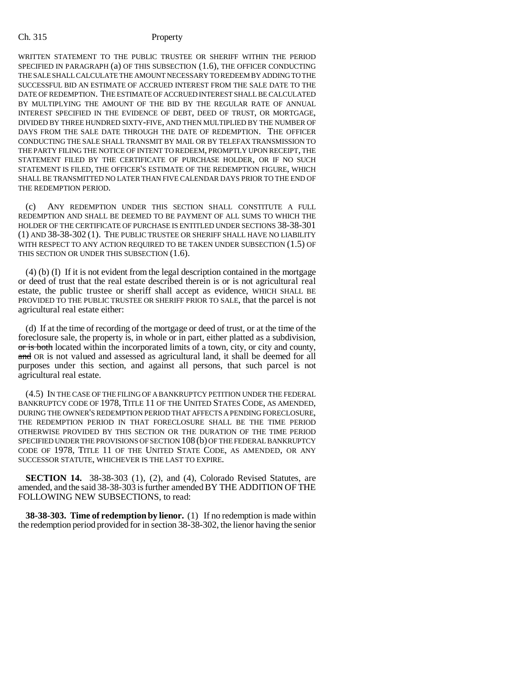WRITTEN STATEMENT TO THE PUBLIC TRUSTEE OR SHERIFF WITHIN THE PERIOD SPECIFIED IN PARAGRAPH (a) OF THIS SUBSECTION (1.6), THE OFFICER CONDUCTING THE SALE SHALL CALCULATE THE AMOUNT NECESSARY TO REDEEM BY ADDING TO THE SUCCESSFUL BID AN ESTIMATE OF ACCRUED INTEREST FROM THE SALE DATE TO THE DATE OF REDEMPTION. THE ESTIMATE OF ACCRUED INTEREST SHALL BE CALCULATED BY MULTIPLYING THE AMOUNT OF THE BID BY THE REGULAR RATE OF ANNUAL INTEREST SPECIFIED IN THE EVIDENCE OF DEBT, DEED OF TRUST, OR MORTGAGE, DIVIDED BY THREE HUNDRED SIXTY-FIVE, AND THEN MULTIPLIED BY THE NUMBER OF DAYS FROM THE SALE DATE THROUGH THE DATE OF REDEMPTION. THE OFFICER CONDUCTING THE SALE SHALL TRANSMIT BY MAIL OR BY TELEFAX TRANSMISSION TO THE PARTY FILING THE NOTICE OF INTENT TO REDEEM, PROMPTLY UPON RECEIPT, THE STATEMENT FILED BY THE CERTIFICATE OF PURCHASE HOLDER, OR IF NO SUCH STATEMENT IS FILED, THE OFFICER'S ESTIMATE OF THE REDEMPTION FIGURE, WHICH SHALL BE TRANSMITTED NO LATER THAN FIVE CALENDAR DAYS PRIOR TO THE END OF THE REDEMPTION PERIOD.

(c) ANY REDEMPTION UNDER THIS SECTION SHALL CONSTITUTE A FULL REDEMPTION AND SHALL BE DEEMED TO BE PAYMENT OF ALL SUMS TO WHICH THE HOLDER OF THE CERTIFICATE OF PURCHASE IS ENTITLED UNDER SECTIONS 38-38-301 (1) AND 38-38-302 (1). THE PUBLIC TRUSTEE OR SHERIFF SHALL HAVE NO LIABILITY WITH RESPECT TO ANY ACTION REQUIRED TO BE TAKEN UNDER SUBSECTION (1.5) OF THIS SECTION OR UNDER THIS SUBSECTION  $(1.6)$ .

(4) (b) (I) If it is not evident from the legal description contained in the mortgage or deed of trust that the real estate described therein is or is not agricultural real estate, the public trustee or sheriff shall accept as evidence, WHICH SHALL BE PROVIDED TO THE PUBLIC TRUSTEE OR SHERIFF PRIOR TO SALE, that the parcel is not agricultural real estate either:

(d) If at the time of recording of the mortgage or deed of trust, or at the time of the foreclosure sale, the property is, in whole or in part, either platted as a subdivision, or is both located within the incorporated limits of a town, city, or city and county, and OR is not valued and assessed as agricultural land, it shall be deemed for all purposes under this section, and against all persons, that such parcel is not agricultural real estate.

(4.5) IN THE CASE OF THE FILING OF A BANKRUPTCY PETITION UNDER THE FEDERAL BANKRUPTCY CODE OF 1978, TITLE 11 OF THE UNITED STATES CODE, AS AMENDED, DURING THE OWNER'S REDEMPTION PERIOD THAT AFFECTS A PENDING FORECLOSURE, THE REDEMPTION PERIOD IN THAT FORECLOSURE SHALL BE THE TIME PERIOD OTHERWISE PROVIDED BY THIS SECTION OR THE DURATION OF THE TIME PERIOD SPECIFIED UNDER THE PROVISIONS OF SECTION 108 (b) OF THE FEDERAL BANKRUPTCY CODE OF 1978, TITLE 11 OF THE UNITED STATE CODE, AS AMENDED, OR ANY SUCCESSOR STATUTE, WHICHEVER IS THE LAST TO EXPIRE.

**SECTION 14.** 38-38-303 (1), (2), and (4), Colorado Revised Statutes, are amended, and the said 38-38-303 is further amended BY THE ADDITION OF THE FOLLOWING NEW SUBSECTIONS, to read:

**38-38-303. Time of redemption by lienor.** (1) If no redemption is made within the redemption period provided for in section 38-38-302, the lienor having the senior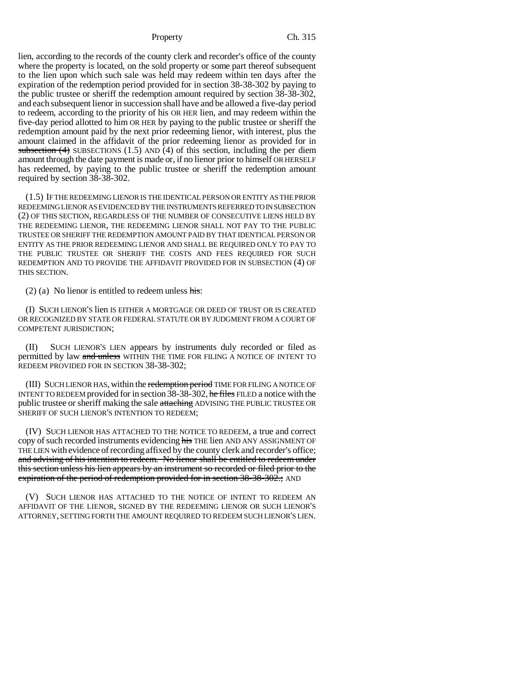lien, according to the records of the county clerk and recorder's office of the county where the property is located, on the sold property or some part thereof subsequent to the lien upon which such sale was held may redeem within ten days after the expiration of the redemption period provided for in section 38-38-302 by paying to the public trustee or sheriff the redemption amount required by section 38-38-302, and each subsequent lienor in succession shall have and be allowed a five-day period to redeem, according to the priority of his OR HER lien, and may redeem within the five-day period allotted to him OR HER by paying to the public trustee or sheriff the redemption amount paid by the next prior redeeming lienor, with interest, plus the amount claimed in the affidavit of the prior redeeming lienor as provided for in subsection  $(4)$  SUBSECTIONS  $(1.5)$  AND  $(4)$  of this section, including the per diem amount through the date payment is made or, if no lienor prior to himself OR HERSELF has redeemed, by paying to the public trustee or sheriff the redemption amount required by section 38-38-302.

(1.5) IF THE REDEEMING LIENOR IS THE IDENTICAL PERSON OR ENTITY AS THE PRIOR REDEEMING LIENOR AS EVIDENCED BY THE INSTRUMENTS REFERRED TO IN SUBSECTION (2) OF THIS SECTION, REGARDLESS OF THE NUMBER OF CONSECUTIVE LIENS HELD BY THE REDEEMING LIENOR, THE REDEEMING LIENOR SHALL NOT PAY TO THE PUBLIC TRUSTEE OR SHERIFF THE REDEMPTION AMOUNT PAID BY THAT IDENTICAL PERSON OR ENTITY AS THE PRIOR REDEEMING LIENOR AND SHALL BE REQUIRED ONLY TO PAY TO THE PUBLIC TRUSTEE OR SHERIFF THE COSTS AND FEES REQUIRED FOR SUCH REDEMPTION AND TO PROVIDE THE AFFIDAVIT PROVIDED FOR IN SUBSECTION (4) OF THIS SECTION.

(2) (a) No lienor is entitled to redeem unless  $\overline{\text{his}}$ :

(I) SUCH LIENOR'S lien IS EITHER A MORTGAGE OR DEED OF TRUST OR IS CREATED OR RECOGNIZED BY STATE OR FEDERAL STATUTE OR BY JUDGMENT FROM A COURT OF COMPETENT JURISDICTION;

(II) SUCH LIENOR'S LIEN appears by instruments duly recorded or filed as permitted by law and unless WITHIN THE TIME FOR FILING A NOTICE OF INTENT TO REDEEM PROVIDED FOR IN SECTION 38-38-302;

(III) SUCH LIENOR HAS, within the redemption period TIME FOR FILING A NOTICE OF INTENT TO REDEEM provided for in section 38-38-302, he files FILED a notice with the public trustee or sheriff making the sale attaching ADVISING THE PUBLIC TRUSTEE OR SHERIFF OF SUCH LIENOR'S INTENTION TO REDEEM;

(IV) SUCH LIENOR HAS ATTACHED TO THE NOTICE TO REDEEM, a true and correct copy of such recorded instruments evidencing his THE lien AND ANY ASSIGNMENT OF THE LIEN with evidence of recording affixed by the county clerk and recorder's office; and advising of his intention to redeem. No lienor shall be entitled to redeem under this section unless his lien appears by an instrument so recorded or filed prior to the expiration of the period of redemption provided for in section 38-38-302.; AND

(V) SUCH LIENOR HAS ATTACHED TO THE NOTICE OF INTENT TO REDEEM AN AFFIDAVIT OF THE LIENOR, SIGNED BY THE REDEEMING LIENOR OR SUCH LIENOR'S ATTORNEY, SETTING FORTH THE AMOUNT REQUIRED TO REDEEM SUCH LIENOR'S LIEN.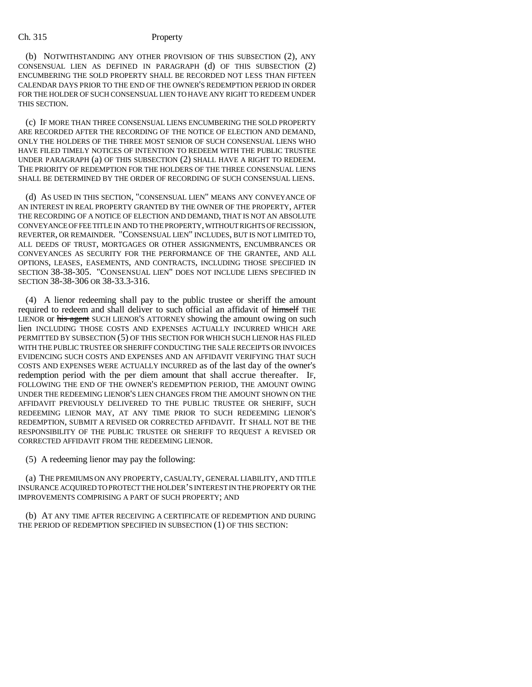### Ch. 315 Property

(b) NOTWITHSTANDING ANY OTHER PROVISION OF THIS SUBSECTION (2), ANY CONSENSUAL LIEN AS DEFINED IN PARAGRAPH (d) OF THIS SUBSECTION (2) ENCUMBERING THE SOLD PROPERTY SHALL BE RECORDED NOT LESS THAN FIFTEEN CALENDAR DAYS PRIOR TO THE END OF THE OWNER'S REDEMPTION PERIOD IN ORDER FOR THE HOLDER OF SUCH CONSENSUAL LIEN TO HAVE ANY RIGHT TO REDEEM UNDER THIS SECTION.

(c) IF MORE THAN THREE CONSENSUAL LIENS ENCUMBERING THE SOLD PROPERTY ARE RECORDED AFTER THE RECORDING OF THE NOTICE OF ELECTION AND DEMAND, ONLY THE HOLDERS OF THE THREE MOST SENIOR OF SUCH CONSENSUAL LIENS WHO HAVE FILED TIMELY NOTICES OF INTENTION TO REDEEM WITH THE PUBLIC TRUSTEE UNDER PARAGRAPH (a) OF THIS SUBSECTION (2) SHALL HAVE A RIGHT TO REDEEM. THE PRIORITY OF REDEMPTION FOR THE HOLDERS OF THE THREE CONSENSUAL LIENS SHALL BE DETERMINED BY THE ORDER OF RECORDING OF SUCH CONSENSUAL LIENS.

(d) AS USED IN THIS SECTION, "CONSENSUAL LIEN" MEANS ANY CONVEYANCE OF AN INTEREST IN REAL PROPERTY GRANTED BY THE OWNER OF THE PROPERTY, AFTER THE RECORDING OF A NOTICE OF ELECTION AND DEMAND, THAT IS NOT AN ABSOLUTE CONVEYANCE OF FEE TITLE IN AND TO THE PROPERTY, WITHOUT RIGHTS OF RECISSION, REVERTER, OR REMAINDER. "CONSENSUAL LIEN" INCLUDES, BUT IS NOT LIMITED TO, ALL DEEDS OF TRUST, MORTGAGES OR OTHER ASSIGNMENTS, ENCUMBRANCES OR CONVEYANCES AS SECURITY FOR THE PERFORMANCE OF THE GRANTEE, AND ALL OPTIONS, LEASES, EASEMENTS, AND CONTRACTS, INCLUDING THOSE SPECIFIED IN SECTION 38-38-305. "CONSENSUAL LIEN" DOES NOT INCLUDE LIENS SPECIFIED IN SECTION 38-38-306 OR 38-33.3-316.

(4) A lienor redeeming shall pay to the public trustee or sheriff the amount required to redeem and shall deliver to such official an affidavit of himself THE LIENOR or his agent SUCH LIENOR'S ATTORNEY showing the amount owing on such lien INCLUDING THOSE COSTS AND EXPENSES ACTUALLY INCURRED WHICH ARE PERMITTED BY SUBSECTION (5) OF THIS SECTION FOR WHICH SUCH LIENOR HAS FILED WITH THE PUBLIC TRUSTEE OR SHERIFF CONDUCTING THE SALE RECEIPTS OR INVOICES EVIDENCING SUCH COSTS AND EXPENSES AND AN AFFIDAVIT VERIFYING THAT SUCH COSTS AND EXPENSES WERE ACTUALLY INCURRED as of the last day of the owner's redemption period with the per diem amount that shall accrue thereafter. IF, FOLLOWING THE END OF THE OWNER'S REDEMPTION PERIOD, THE AMOUNT OWING UNDER THE REDEEMING LIENOR'S LIEN CHANGES FROM THE AMOUNT SHOWN ON THE AFFIDAVIT PREVIOUSLY DELIVERED TO THE PUBLIC TRUSTEE OR SHERIFF, SUCH REDEEMING LIENOR MAY, AT ANY TIME PRIOR TO SUCH REDEEMING LIENOR'S REDEMPTION, SUBMIT A REVISED OR CORRECTED AFFIDAVIT. IT SHALL NOT BE THE RESPONSIBILITY OF THE PUBLIC TRUSTEE OR SHERIFF TO REQUEST A REVISED OR CORRECTED AFFIDAVIT FROM THE REDEEMING LIENOR.

(5) A redeeming lienor may pay the following:

(a) THE PREMIUMS ON ANY PROPERTY, CASUALTY, GENERAL LIABILITY, AND TITLE INSURANCE ACQUIRED TO PROTECT THE HOLDER'S INTEREST IN THE PROPERTY OR THE IMPROVEMENTS COMPRISING A PART OF SUCH PROPERTY; AND

(b) AT ANY TIME AFTER RECEIVING A CERTIFICATE OF REDEMPTION AND DURING THE PERIOD OF REDEMPTION SPECIFIED IN SUBSECTION (1) OF THIS SECTION: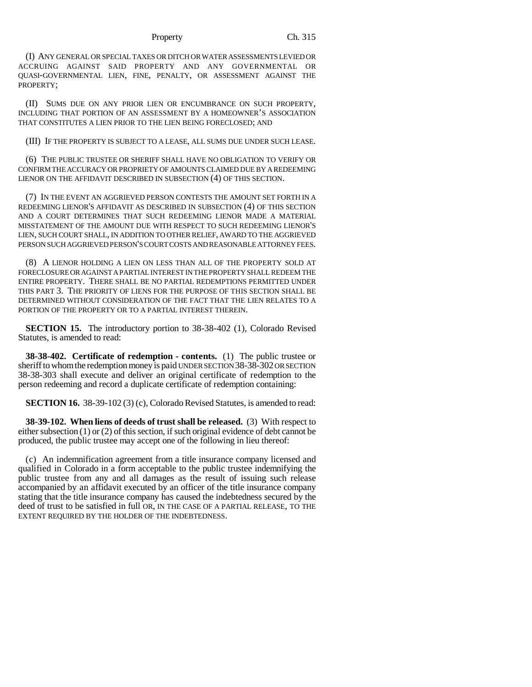(I) ANY GENERAL OR SPECIAL TAXES OR DITCH OR WATER ASSESSMENTS LEVIED OR ACCRUING AGAINST SAID PROPERTY AND ANY GOVERNMENTAL OR QUASI-GOVERNMENTAL LIEN, FINE, PENALTY, OR ASSESSMENT AGAINST THE PROPERTY;

(II) SUMS DUE ON ANY PRIOR LIEN OR ENCUMBRANCE ON SUCH PROPERTY, INCLUDING THAT PORTION OF AN ASSESSMENT BY A HOMEOWNER'S ASSOCIATION THAT CONSTITUTES A LIEN PRIOR TO THE LIEN BEING FORECLOSED; AND

(III) IF THE PROPERTY IS SUBJECT TO A LEASE, ALL SUMS DUE UNDER SUCH LEASE.

(6) THE PUBLIC TRUSTEE OR SHERIFF SHALL HAVE NO OBLIGATION TO VERIFY OR CONFIRM THE ACCURACY OR PROPRIETY OF AMOUNTS CLAIMED DUE BY A REDEEMING LIENOR ON THE AFFIDAVIT DESCRIBED IN SUBSECTION (4) OF THIS SECTION.

(7) IN THE EVENT AN AGGRIEVED PERSON CONTESTS THE AMOUNT SET FORTH IN A REDEEMING LIENOR'S AFFIDAVIT AS DESCRIBED IN SUBSECTION (4) OF THIS SECTION AND A COURT DETERMINES THAT SUCH REDEEMING LIENOR MADE A MATERIAL MISSTATEMENT OF THE AMOUNT DUE WITH RESPECT TO SUCH REDEEMING LIENOR'S LIEN, SUCH COURT SHALL, IN ADDITION TO OTHER RELIEF, AWARD TO THE AGGRIEVED PERSON SUCH AGGRIEVED PERSON'S COURT COSTS AND REASONABLE ATTORNEY FEES.

(8) A LIENOR HOLDING A LIEN ON LESS THAN ALL OF THE PROPERTY SOLD AT FORECLOSURE OR AGAINST A PARTIAL INTEREST IN THE PROPERTY SHALL REDEEM THE ENTIRE PROPERTY. THERE SHALL BE NO PARTIAL REDEMPTIONS PERMITTED UNDER THIS PART 3. THE PRIORITY OF LIENS FOR THE PURPOSE OF THIS SECTION SHALL BE DETERMINED WITHOUT CONSIDERATION OF THE FACT THAT THE LIEN RELATES TO A PORTION OF THE PROPERTY OR TO A PARTIAL INTEREST THEREIN.

**SECTION 15.** The introductory portion to 38-38-402 (1), Colorado Revised Statutes, is amended to read:

**38-38-402. Certificate of redemption - contents.** (1) The public trustee or sheriff to whom the redemption money is paid UNDER SECTION 38-38-302 OR SECTION 38-38-303 shall execute and deliver an original certificate of redemption to the person redeeming and record a duplicate certificate of redemption containing:

**SECTION 16.** 38-39-102 (3) (c), Colorado Revised Statutes, is amended to read:

**38-39-102. When liens of deeds of trust shall be released.** (3) With respect to either subsection (1) or (2) of this section, if such original evidence of debt cannot be produced, the public trustee may accept one of the following in lieu thereof:

(c) An indemnification agreement from a title insurance company licensed and qualified in Colorado in a form acceptable to the public trustee indemnifying the public trustee from any and all damages as the result of issuing such release accompanied by an affidavit executed by an officer of the title insurance company stating that the title insurance company has caused the indebtedness secured by the deed of trust to be satisfied in full OR, IN THE CASE OF A PARTIAL RELEASE, TO THE EXTENT REQUIRED BY THE HOLDER OF THE INDEBTEDNESS.